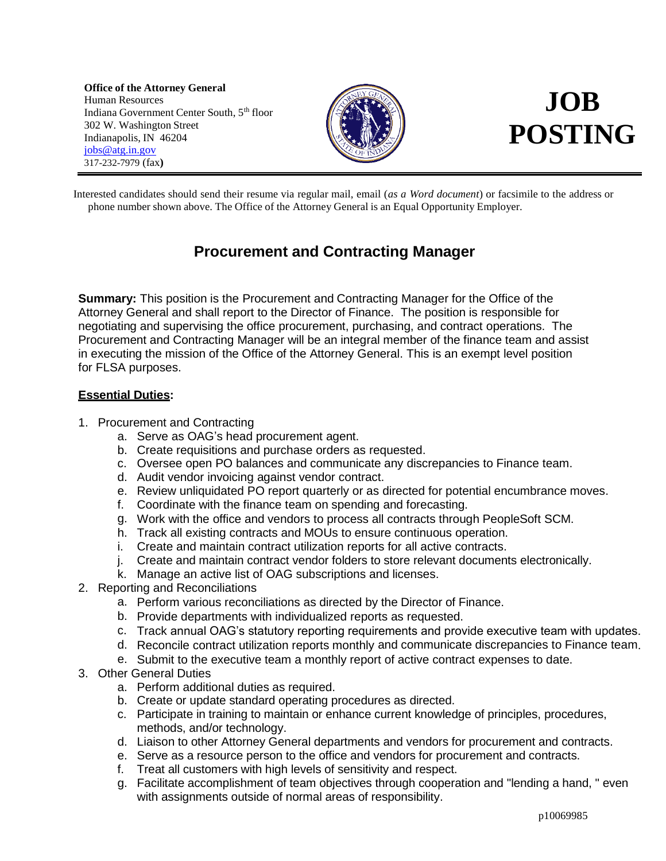**Office of the Attorney General** Human Resources Indiana Government Center South, 5<sup>th</sup> floor 302 W. Washington Street Indianapolis, IN 46204 [jobs@atg.in.gov](mailto:jobs@atg.in.gov) 317-232-7979 (fax**)**



# **JOB POSTING**

Interested candidates should send their resume via regular mail, email (*as a Word document*) or facsimile to the address or phone number shown above. The Office of the Attorney General is an Equal Opportunity Employer.

## **Procurement and Contracting Manager**

**Summary:** This position is the Procurement and Contracting Manager for the Office of the Attorney General and shall report to the Director of Finance. The position is responsible for negotiating and supervising the office procurement, purchasing, and contract operations. The Procurement and Contracting Manager will be an integral member of the finance team and assist in executing the mission of the Office of the Attorney General. This is an exempt level position for FLSA purposes.

### **Essential Duties:**

- 1. Procurement and Contracting
	- a. Serve as OAG's head procurement agent.
	- b. Create requisitions and purchase orders as requested.
	- c. Oversee open PO balances and communicate any discrepancies to Finance team.
	- d. Audit vendor invoicing against vendor contract.
	- e. Review unliquidated PO report quarterly or as directed for potential encumbrance moves.
	- f. Coordinate with the finance team on spending and forecasting.
	- g. Work with the office and vendors to process all contracts through PeopleSoft SCM.
	- h. Track all existing contracts and MOUs to ensure continuous operation.
	- i. Create and maintain contract utilization reports for all active contracts.
	- j. Create and maintain contract vendor folders to store relevant documents electronically.
	- k. Manage an active list of OAG subscriptions and licenses.
- 2. Reporting and Reconciliations
	- a. Perform various reconciliations as directed by the Director of Finance.
	- b. Provide departments with individualized reports as requested.
	- c. Track annual OAG's statutory reporting requirements and provide executive team with updates.
	- d. Reconcile contract utilization reports monthly and communicate discrepancies to Finance team.
	- e. Submit to the executive team a monthly report of active contract expenses to date.
- 3. Other General Duties
	- a. Perform additional duties as required.
	- b. Create or update standard operating procedures as directed.
	- c. Participate in training to maintain or enhance current knowledge of principles, procedures, methods, and/or technology.
	- d. Liaison to other Attorney General departments and vendors for procurement and contracts.
	- e. Serve as a resource person to the office and vendors for procurement and contracts.
	- f. Treat all customers with high levels of sensitivity and respect.
	- g. Facilitate accomplishment of team objectives through cooperation and "lending a hand, " even with assignments outside of normal areas of responsibility.